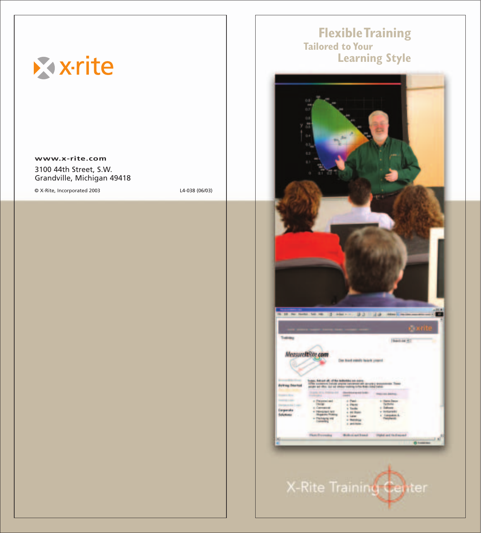

# **Flexible Training Learning Style**